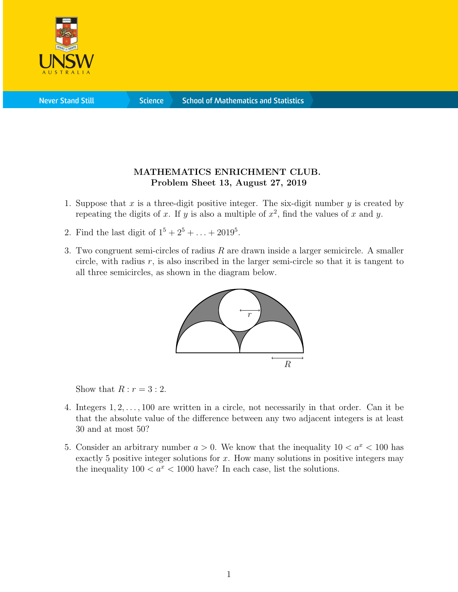

**Science** 

## MATHEMATICS ENRICHMENT CLUB. Problem Sheet 13, August 27, 2019

- 1. Suppose that x is a three-digit positive integer. The six-digit number y is created by repeating the digits of x. If y is also a multiple of  $x^2$ , find the values of x and y.
- 2. Find the last digit of  $1^5 + 2^5 + ... + 2019^5$ .
- 3. Two congruent semi-circles of radius  $R$  are drawn inside a larger semicircle. A smaller circle, with radius  $r$ , is also inscribed in the larger semi-circle so that it is tangent to all three semicircles, as shown in the diagram below.



Show that  $R : r = 3 : 2$ .

- 4. Integers 1, 2, . . . , 100 are written in a circle, not necessarily in that order. Can it be that the absolute value of the difference between any two adjacent integers is at least 30 and at most 50?
- 5. Consider an arbitrary number  $a > 0$ . We know that the inequality  $10 < a^x < 100$  has exactly 5 positive integer solutions for  $x$ . How many solutions in positive integers may the inequality  $100 < a^x < 1000$  have? In each case, list the solutions.